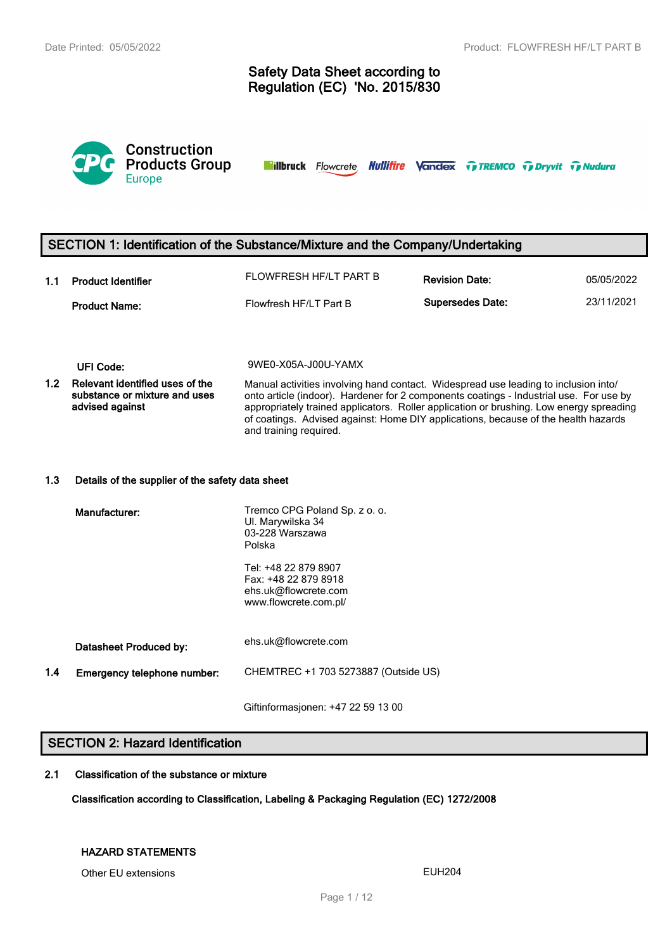# **Safety Data Sheet according to Regulation (EC) 'No. 2015/830**



**Nillbruck** Flowcrete **Nullifire Vandex TreMCO** Trenty Tradura

## **SECTION 1: Identification of the Substance/Mixture and the Company/Undertaking**

| 1.1 | <b>Product Identifier</b> | FLOWFRESH HF/LT PART B | <b>Revision Date:</b>   | 05/05/2022 |
|-----|---------------------------|------------------------|-------------------------|------------|
|     | <b>Product Name:</b>      | Flowfresh HF/LT Part B | <b>Supersedes Date:</b> | 23/11/2021 |

**UFI Code:** 9WE0-X05A-J00U-YAMX

**1.2 Relevant identified uses of the substance or mixture and uses advised against** Manual activities involving hand contact. Widespread use leading to inclusion into/ onto article (indoor). Hardener for 2 components coatings - Industrial use. For use by appropriately trained applicators. Roller application or brushing. Low energy spreading of coatings. Advised against: Home DIY applications, because of the health hazards and training required.

#### **1.3 Details of the supplier of the safety data sheet**

|     | Manufacturer:               | Tremco CPG Poland Sp. z o. o.<br>UI. Marywilska 34<br>03-228 Warszawa<br>Polska               |  |  |  |
|-----|-----------------------------|-----------------------------------------------------------------------------------------------|--|--|--|
|     |                             | Tel: +48 22 879 8907<br>Fax: +48 22 879 8918<br>ehs.uk@flowcrete.com<br>www.flowcrete.com.pl/ |  |  |  |
|     | Datasheet Produced by:      | ehs.uk@flowcrete.com                                                                          |  |  |  |
| 1.4 | Emergency telephone number: | CHEMTREC +1 703 5273887 (Outside US)                                                          |  |  |  |

Giftinformasjonen: +47 22 59 13 00

# **SECTION 2: Hazard Identification**

### **2.1 Classification of the substance or mixture**

**Classification according to Classification, Labeling & Packaging Regulation (EC) 1272/2008**

### **HAZARD STATEMENTS**

Other EU extensions **EUH204**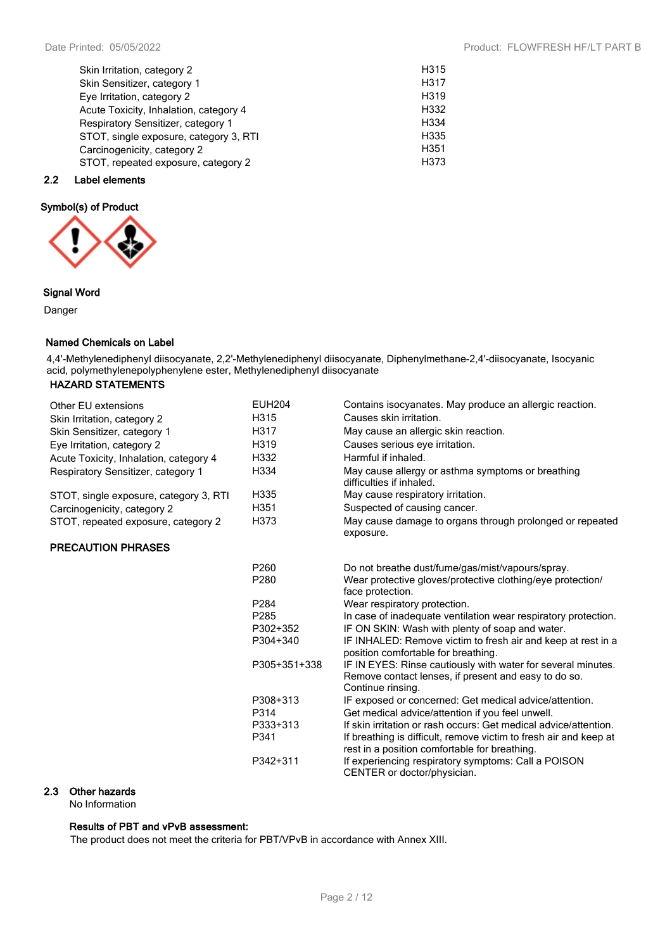Date Printed: 05/05/2022 **Product: FLOWFRESH HF/LT PART B** 

| Skin Irritation, category 2            | H315              |
|----------------------------------------|-------------------|
| Skin Sensitizer, category 1            | H317              |
| Eye Irritation, category 2             | H319              |
| Acute Toxicity, Inhalation, category 4 | H332              |
| Respiratory Sensitizer, category 1     | H <sub>3</sub> 34 |
| STOT, single exposure, category 3, RTI | H335              |
| Carcinogenicity, category 2            | H <sub>351</sub>  |
| STOT, repeated exposure, category 2    | H373              |
|                                        |                   |

### **2.2 Label elements**

### **Symbol(s) of Product**



### **Signal Word**

Danger

### **Named Chemicals on Label**

4,4'-Methylenediphenyl diisocyanate, 2,2'-Methylenediphenyl diisocyanate, Diphenylmethane-2,4'-diisocyanate, Isocyanic acid, polymethylenepolyphenylene ester, Methylenediphenyl diisocyanate

### **HAZARD STATEMENTS**

| Other EU extensions                    | <b>EUH204</b>    | Contains isocyanates. May produce an allergic reaction.                                             |
|----------------------------------------|------------------|-----------------------------------------------------------------------------------------------------|
| Skin Irritation, category 2            | H315             | Causes skin irritation.                                                                             |
| Skin Sensitizer, category 1            | H317             | May cause an allergic skin reaction.                                                                |
| Eye Irritation, category 2             | H319             | Causes serious eye irritation.                                                                      |
| Acute Toxicity, Inhalation, category 4 | H332             | Harmful if inhaled.                                                                                 |
| Respiratory Sensitizer, category 1     | H334             | May cause allergy or asthma symptoms or breathing<br>difficulties if inhaled.                       |
| STOT, single exposure, category 3, RTI | H335             | May cause respiratory irritation.                                                                   |
| Carcinogenicity, category 2            | H351             | Suspected of causing cancer.                                                                        |
| STOT, repeated exposure, category 2    | H373             | May cause damage to organs through prolonged or repeated<br>exposure.                               |
| <b>PRECAUTION PHRASES</b>              |                  |                                                                                                     |
|                                        | P260             | Do not breathe dust/fume/gas/mist/vapours/spray.                                                    |
|                                        | P280             | Wear protective gloves/protective clothing/eye protection/<br>face protection.                      |
|                                        | P284             | Wear respiratory protection.                                                                        |
|                                        | P <sub>285</sub> | In case of inadequate ventilation wear respiratory protection.                                      |
|                                        | P302+352         | IF ON SKIN: Wash with plenty of soap and water.                                                     |
|                                        | P304+340         | IF INHALED: Remove victim to fresh air and keep at rest in a<br>position comfortable for breathing. |
|                                        | P305+351+338     | IF IN EYES: Rinse cautiously with water for several minutes.                                        |
|                                        |                  | Remove contact lenses, if present and easy to do so.<br>Continue rinsing.                           |
|                                        | P308+313         | IF exposed or concerned: Get medical advice/attention.                                              |
|                                        | P314             | Get medical advice/attention if you feel unwell.                                                    |
|                                        | <b>D333+313</b>  | If skin irritation or rash occurs: Get medical advice/attention                                     |

P333+313 If skin irritation or rash occurs: Get medical advice/attention. P341 If breathing is difficult, remove victim to fresh air and keep at rest in a position comfortable for breathing. P342+311 If experiencing respiratory symptoms: Call a POISON

CENTER or doctor/physician.

### **2.3 Other hazards**

No Information

### **Results of PBT and vPvB assessment:**

The product does not meet the criteria for PBT/VPvB in accordance with Annex XIII.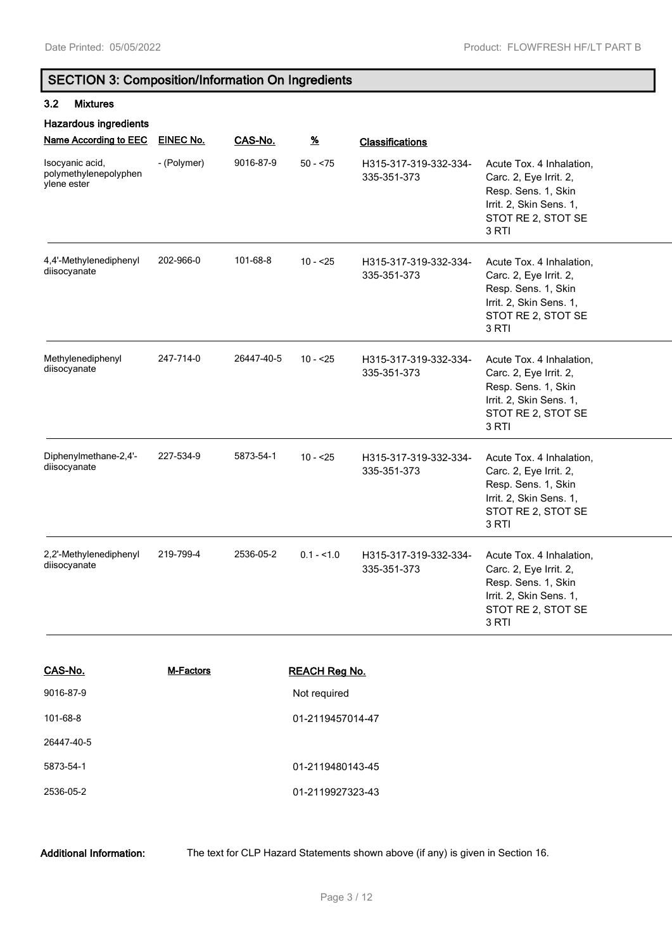# **SECTION 3: Composition/Information On Ingredients**

### **3.2 Mixtures**

| <b>Hazardous ingredients</b>                            |             |            |                      |                                      |                                                                                                                                     |
|---------------------------------------------------------|-------------|------------|----------------------|--------------------------------------|-------------------------------------------------------------------------------------------------------------------------------------|
| Name According to EEC                                   | EINEC No.   | CAS-No.    | $\frac{9}{6}$        | <b>Classifications</b>               |                                                                                                                                     |
| Isocyanic acid,<br>polymethylenepolyphen<br>ylene ester | - (Polymer) | 9016-87-9  | $50 - 75$            | H315-317-319-332-334-<br>335-351-373 | Acute Tox. 4 Inhalation,<br>Carc. 2, Eye Irrit. 2,<br>Resp. Sens. 1, Skin<br>Irrit. 2, Skin Sens. 1,<br>STOT RE 2, STOT SE<br>3 RTI |
| 4,4'-Methylenediphenyl<br>diisocyanate                  | 202-966-0   | 101-68-8   | $10 - 25$            | H315-317-319-332-334-<br>335-351-373 | Acute Tox. 4 Inhalation,<br>Carc. 2, Eye Irrit. 2,<br>Resp. Sens. 1, Skin<br>Irrit. 2, Skin Sens. 1,<br>STOT RE 2, STOT SE<br>3 RTI |
| Methylenediphenyl<br>diisocyanate                       | 247-714-0   | 26447-40-5 | $10 - 25$            | H315-317-319-332-334-<br>335-351-373 | Acute Tox. 4 Inhalation,<br>Carc. 2, Eye Irrit. 2,<br>Resp. Sens. 1, Skin<br>Irrit. 2, Skin Sens. 1,<br>STOT RE 2, STOT SE<br>3 RTI |
| Diphenylmethane-2,4'-<br>diisocyanate                   | 227-534-9   | 5873-54-1  | $10 - 25$            | H315-317-319-332-334-<br>335-351-373 | Acute Tox. 4 Inhalation,<br>Carc. 2, Eye Irrit. 2,<br>Resp. Sens. 1, Skin<br>Irrit. 2, Skin Sens. 1,<br>STOT RE 2, STOT SE<br>3 RTI |
| 2,2'-Methylenediphenyl<br>diisocyanate                  | 219-799-4   | 2536-05-2  | $0.1 - 1.0$          | H315-317-319-332-334-<br>335-351-373 | Acute Tox. 4 Inhalation,<br>Carc. 2, Eye Irrit. 2,<br>Resp. Sens. 1, Skin<br>Irrit. 2, Skin Sens. 1,<br>STOT RE 2, STOT SE<br>3 RTI |
| CAS-No.                                                 | M-Factors   |            | <b>REACH Reg No.</b> |                                      |                                                                                                                                     |

| 9016-87-9  | Not required     |
|------------|------------------|
| 101-68-8   | 01-2119457014-47 |
| 26447-40-5 |                  |
| 5873-54-1  | 01-2119480143-45 |
| 2536-05-2  | 01-2119927323-43 |

**Additional Information:** The text for CLP Hazard Statements shown above (if any) is given in Section 16.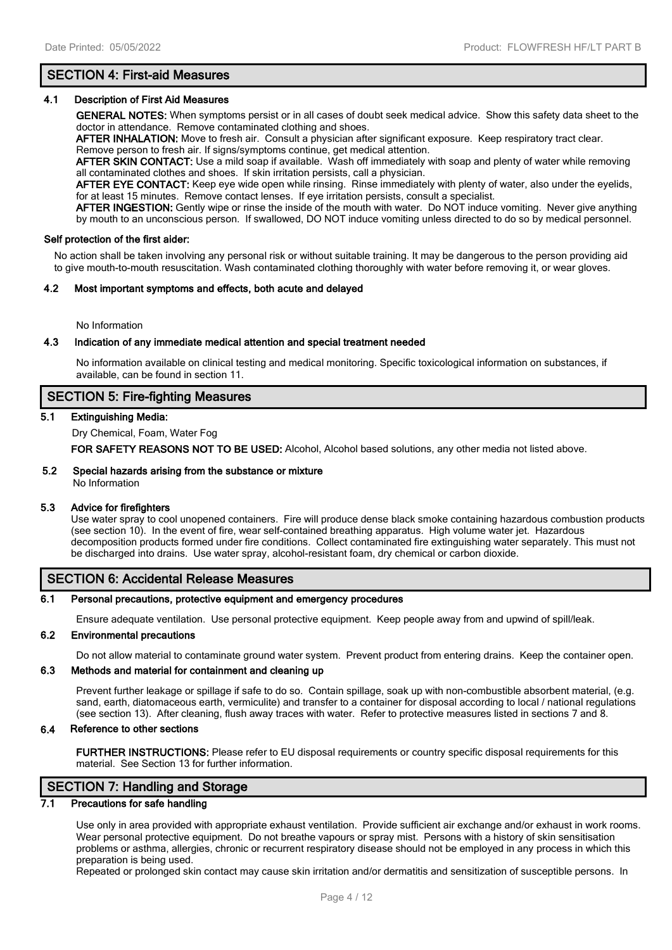# **SECTION 4: First-aid Measures**

### **4.1 Description of First Aid Measures**

**GENERAL NOTES:** When symptoms persist or in all cases of doubt seek medical advice. Show this safety data sheet to the doctor in attendance. Remove contaminated clothing and shoes.

**AFTER INHALATION:** Move to fresh air. Consult a physician after significant exposure. Keep respiratory tract clear. Remove person to fresh air. If signs/symptoms continue, get medical attention.

**AFTER SKIN CONTACT:** Use a mild soap if available. Wash off immediately with soap and plenty of water while removing all contaminated clothes and shoes. If skin irritation persists, call a physician.

**AFTER EYE CONTACT:** Keep eye wide open while rinsing. Rinse immediately with plenty of water, also under the eyelids, for at least 15 minutes. Remove contact lenses. If eye irritation persists, consult a specialist.

**AFTER INGESTION:** Gently wipe or rinse the inside of the mouth with water. Do NOT induce vomiting. Never give anything by mouth to an unconscious person. If swallowed, DO NOT induce vomiting unless directed to do so by medical personnel.

#### **Self protection of the first aider:**

No action shall be taken involving any personal risk or without suitable training. It may be dangerous to the person providing aid to give mouth-to-mouth resuscitation. Wash contaminated clothing thoroughly with water before removing it, or wear gloves.

#### **4.2 Most important symptoms and effects, both acute and delayed**

No Information

#### **4.3 Indication of any immediate medical attention and special treatment needed**

No information available on clinical testing and medical monitoring. Specific toxicological information on substances, if available, can be found in section 11.

### **SECTION 5: Fire-fighting Measures**

#### **5.1 Extinguishing Media:**

Dry Chemical, Foam, Water Fog

**FOR SAFETY REASONS NOT TO BE USED:** Alcohol, Alcohol based solutions, any other media not listed above.

### **5.2 Special hazards arising from the substance or mixture**

No Information

#### **5.3 Advice for firefighters**

Use water spray to cool unopened containers. Fire will produce dense black smoke containing hazardous combustion products (see section 10). In the event of fire, wear self-contained breathing apparatus. High volume water jet. Hazardous decomposition products formed under fire conditions. Collect contaminated fire extinguishing water separately. This must not be discharged into drains. Use water spray, alcohol-resistant foam, dry chemical or carbon dioxide.

### **SECTION 6: Accidental Release Measures**

#### **6.1 Personal precautions, protective equipment and emergency procedures**

Ensure adequate ventilation. Use personal protective equipment. Keep people away from and upwind of spill/leak.

#### **6.2 Environmental precautions**

Do not allow material to contaminate ground water system. Prevent product from entering drains. Keep the container open.

#### **6.3 Methods and material for containment and cleaning up**

Prevent further leakage or spillage if safe to do so. Contain spillage, soak up with non-combustible absorbent material, (e.g. sand, earth, diatomaceous earth, vermiculite) and transfer to a container for disposal according to local / national regulations (see section 13). After cleaning, flush away traces with water. Refer to protective measures listed in sections 7 and 8.

#### **6.4 Reference to other sections**

**FURTHER INSTRUCTIONS:** Please refer to EU disposal requirements or country specific disposal requirements for this material. See Section 13 for further information.

# **SECTION 7: Handling and Storage**

### **7.1 Precautions for safe handling**

Use only in area provided with appropriate exhaust ventilation. Provide sufficient air exchange and/or exhaust in work rooms. Wear personal protective equipment. Do not breathe vapours or spray mist. Persons with a history of skin sensitisation problems or asthma, allergies, chronic or recurrent respiratory disease should not be employed in any process in which this preparation is being used.

Repeated or prolonged skin contact may cause skin irritation and/or dermatitis and sensitization of susceptible persons. In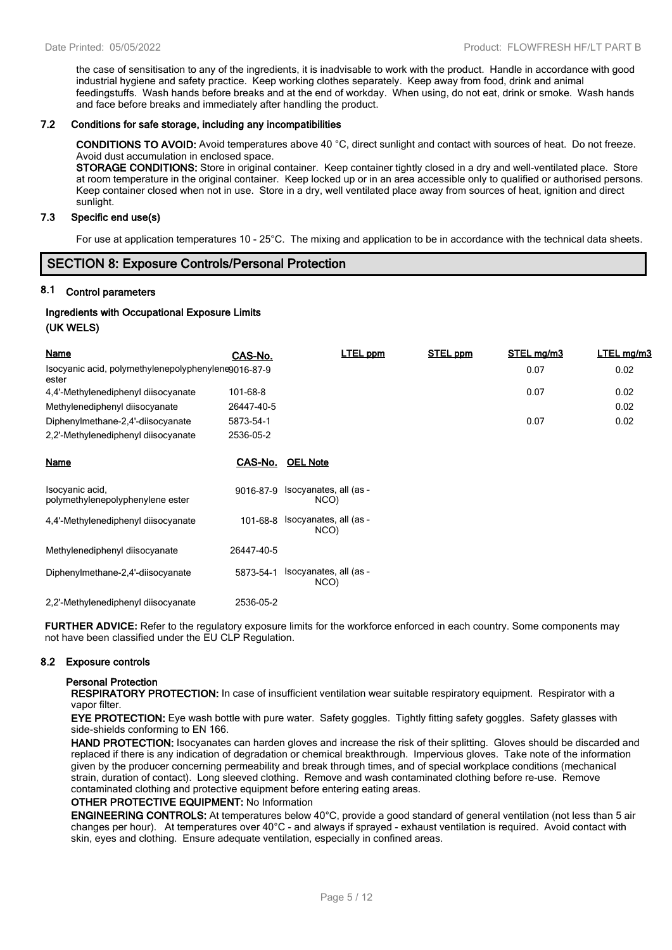the case of sensitisation to any of the ingredients, it is inadvisable to work with the product. Handle in accordance with good industrial hygiene and safety practice. Keep working clothes separately. Keep away from food, drink and animal feedingstuffs. Wash hands before breaks and at the end of workday. When using, do not eat, drink or smoke. Wash hands and face before breaks and immediately after handling the product.

### **7.2 Conditions for safe storage, including any incompatibilities**

**CONDITIONS TO AVOID:** Avoid temperatures above 40 °C, direct sunlight and contact with sources of heat. Do not freeze. Avoid dust accumulation in enclosed space.

**STORAGE CONDITIONS:** Store in original container. Keep container tightly closed in a dry and well-ventilated place. Store at room temperature in the original container. Keep locked up or in an area accessible only to qualified or authorised persons. Keep container closed when not in use. Store in a dry, well ventilated place away from sources of heat, ignition and direct sunlight.

### **7.3 Specific end use(s)**

For use at application temperatures 10 - 25°C. The mixing and application to be in accordance with the technical data sheets.

### **SECTION 8: Exposure Controls/Personal Protection**

### **8.1 Control parameters**

### **Ingredients with Occupational Exposure Limits (UK WELS)**

| <b>Name</b>                                                  | CAS-No.    | <b>LTEL ppm</b>                          | STEL ppm | STEL mg/m3 | LTEL mg/m3 |
|--------------------------------------------------------------|------------|------------------------------------------|----------|------------|------------|
| Isocyanic acid, polymethylenepolyphenylene9016-87-9<br>ester |            |                                          |          | 0.07       | 0.02       |
| 4,4'-Methylenediphenyl diisocyanate                          | 101-68-8   |                                          |          | 0.07       | 0.02       |
| Methylenediphenyl diisocyanate                               | 26447-40-5 |                                          |          |            | 0.02       |
| Diphenylmethane-2,4'-diisocyanate                            | 5873-54-1  |                                          |          | 0.07       | 0.02       |
| 2,2'-Methylenediphenyl diisocyanate                          | 2536-05-2  |                                          |          |            |            |
| <b>Name</b>                                                  | CAS-No.    | <b>OEL Note</b>                          |          |            |            |
| Isocyanic acid,<br>polymethylenepolyphenylene ester          |            | 9016-87-9 Isocyanates, all (as -<br>NCO) |          |            |            |
| 4,4'-Methylenediphenyl diisocyanate                          | 101-68-8   | Isocyanates, all (as -<br>NCO)           |          |            |            |
| Methylenediphenyl diisocyanate                               | 26447-40-5 |                                          |          |            |            |
| Diphenylmethane-2,4'-diisocyanate                            | 5873-54-1  | Isocyanates, all (as -<br>NCO)           |          |            |            |
| 2.2'-Methylenediphenyl diisocyanate                          | 2536-05-2  |                                          |          |            |            |

**FURTHER ADVICE:** Refer to the regulatory exposure limits for the workforce enforced in each country. Some components may not have been classified under the EU CLP Regulation.

### **8.2 Exposure controls**

#### **Personal Protection**

**RESPIRATORY PROTECTION:** In case of insufficient ventilation wear suitable respiratory equipment. Respirator with a vapor filter.

**EYE PROTECTION:** Eye wash bottle with pure water. Safety goggles. Tightly fitting safety goggles. Safety glasses with side-shields conforming to EN 166.

**HAND PROTECTION:** Isocyanates can harden gloves and increase the risk of their splitting. Gloves should be discarded and replaced if there is any indication of degradation or chemical breakthrough. Impervious gloves. Take note of the information given by the producer concerning permeability and break through times, and of special workplace conditions (mechanical strain, duration of contact). Long sleeved clothing. Remove and wash contaminated clothing before re-use. Remove contaminated clothing and protective equipment before entering eating areas.

#### **OTHER PROTECTIVE EQUIPMENT:** No Information

**ENGINEERING CONTROLS:** At temperatures below 40°C, provide a good standard of general ventilation (not less than 5 air changes per hour). At temperatures over 40°C - and always if sprayed - exhaust ventilation is required. Avoid contact with skin, eyes and clothing. Ensure adequate ventilation, especially in confined areas.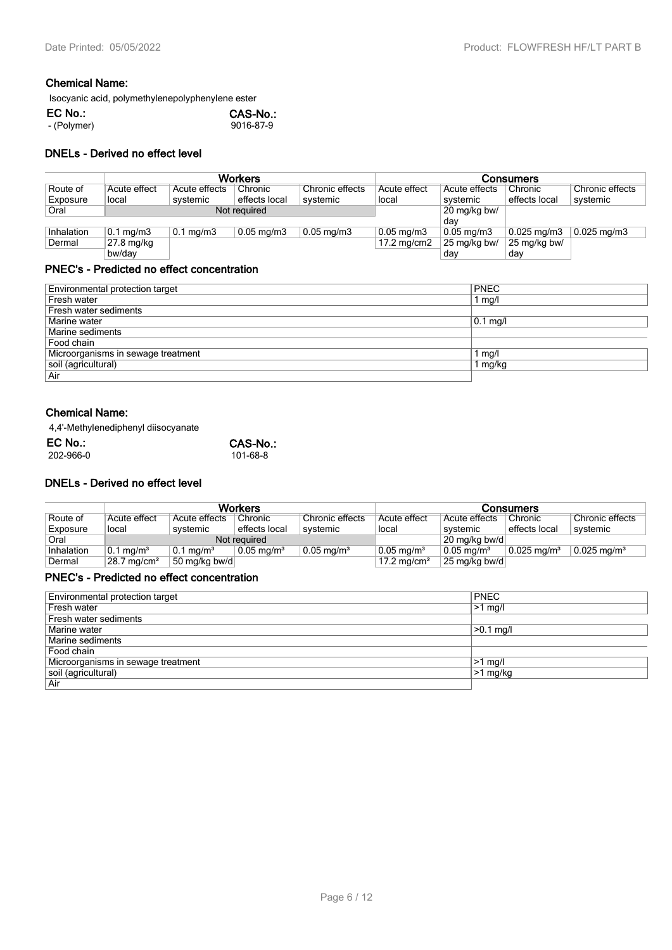# **Chemical Name:**

Isocyanic acid, polymethylenepolyphenylene ester

| EC No.:     | CAS-No.:  |
|-------------|-----------|
| - (Polymer) | 9016-87-9 |

### **DNELs - Derived no effect level**

|            | <b>Workers</b>       |                      |                         |                       | <b>Consumers</b>        |                         |                        |                          |
|------------|----------------------|----------------------|-------------------------|-----------------------|-------------------------|-------------------------|------------------------|--------------------------|
| Route of   | Acute effect         | Acute effects        | Chronic                 | Chronic effects       | Acute effect            | Acute effects           | Chronic                | Chronic effects          |
| Exposure   | local                | systemic             | effects local           | systemic              | local                   | systemic                | effects local          | systemic                 |
| Oral       | Not required         |                      |                         |                       |                         | 20 mg/kg bw/            |                        |                          |
|            |                      |                      |                         |                       |                         | dav                     |                        |                          |
| Inhalation | $0.1 \text{ mg/m}$ 3 | $0.1 \text{ mg/m}$ 3 | $0.05 \,\mathrm{mg/m3}$ | $0.05 \text{ mg/m}$ 3 | $0.05 \,\mathrm{mg/m3}$ | $0.05 \,\mathrm{mg/m3}$ | $0.025 \text{ mg/m}$ 3 | $0.025 \,\mathrm{mg/m3}$ |
| Dermal     | $27.8 \text{ mg/kg}$ |                      |                         |                       | $17.2 \text{ mg/cm2}$   | 25 mg/kg bw/            | 25 mg/kg bw/           |                          |
|            | bw/dav               |                      |                         |                       |                         | day                     | day                    |                          |

### **PNEC's - Predicted no effect concentration**

| Environmental protection target    | <b>PNEC</b> |
|------------------------------------|-------------|
| Fresh water                        | 1 mg/l      |
| Fresh water sediments              |             |
| Marine water                       | $0.1$ mg/l  |
| Marine sediments                   |             |
| Food chain                         |             |
| Microorganisms in sewage treatment | l mg/l      |
| soil (agricultural)                | l mg/kg     |
| Air                                |             |

### **Chemical Name:**

4,4'-Methylenediphenyl diisocyanate

| CAS-No.: |
|----------|
| 101-68-8 |
|          |

### **DNELs - Derived no effect level**

|            |                         |                         | <b>Workers</b>        |                       | Consumers                |                               |                        |                           |
|------------|-------------------------|-------------------------|-----------------------|-----------------------|--------------------------|-------------------------------|------------------------|---------------------------|
| Route of   | Acute effect            | Acute effects           | Chronic               | Chronic effects       | Acute effect             | Acute effects                 | Chronic                | Chronic effects           |
| Exposure   | local                   | systemic                | ' effects local       | systemic              | local                    | svstemic                      | effects local          | svstemic                  |
| Oral       | Not required            |                         |                       |                       | 20 mg/kg bw/d            |                               |                        |                           |
| Inhalation | $0.1 \,\mathrm{mg/m^3}$ | $0.1 \,\mathrm{mq/m^3}$ | $0.05 \text{ ma/m}^3$ | $0.05 \text{ mg/m}^3$ | $0.05 \,\mathrm{mg/m^3}$ | $0.05$ ma/m <sup>3</sup>      | $0.025 \text{ ma/m}^3$ | $0.025$ mg/m <sup>3</sup> |
| Dermal     | $28.7 \text{ mg/cm}^2$  | 50 mg/kg bw/d           |                       |                       | 17.2 mg/cm <sup>2</sup>  | $\vert$ 25 mg/kg bw/d $\vert$ |                        |                           |

### **PNEC's - Predicted no effect concentration**

| Environmental protection target    | <b>PNEC</b> |
|------------------------------------|-------------|
| Fresh water                        | $>1$ mg/l   |
| Fresh water sediments              |             |
| Marine water                       | $>0.1$ mg/l |
| Marine sediments                   |             |
| Food chain                         |             |
| Microorganisms in sewage treatment | $>1$ mg/    |
| soil (agricultural)                | $>1$ mg/kg  |
| Air                                |             |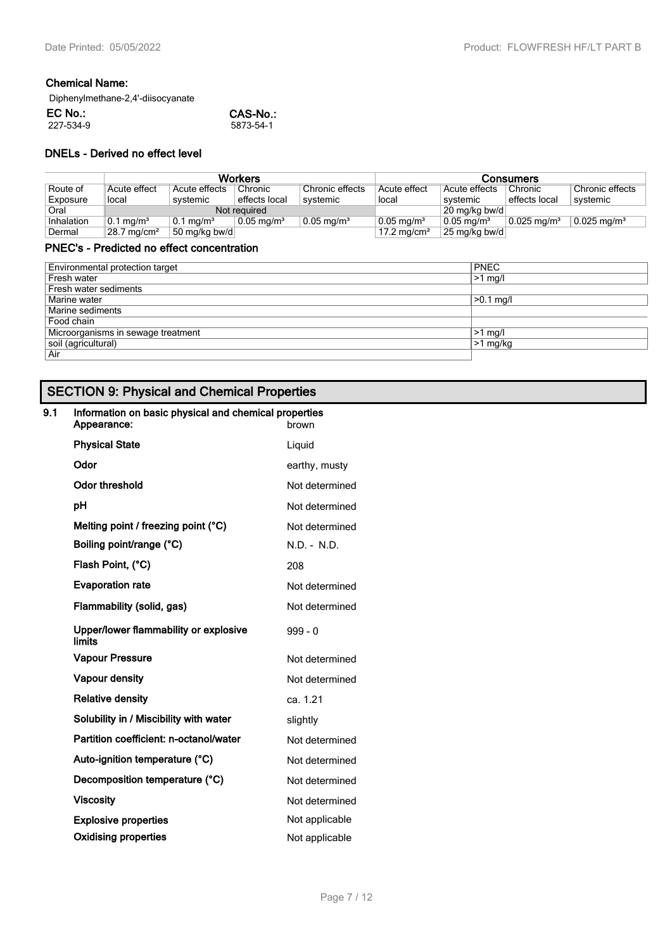# **Chemical Name:**

Diphenylmethane-2,4'-diisocyanate

| EC No.:   | CAS-No.:  |
|-----------|-----------|
| 227-534-9 | 5873-54-1 |

### **DNELs - Derived no effect level**

|            |                        |                      | <b>Workers</b>           |                       |                          |                          | Consumers                 |                           |
|------------|------------------------|----------------------|--------------------------|-----------------------|--------------------------|--------------------------|---------------------------|---------------------------|
| Route of   | Acute effect           | Acute effects        | Chronic                  | Chronic effects       | Acute effect             | Acute effects            | Chronic                   | Chronic effects           |
| Exposure   | local                  | systemic             | effects local            | systemic              | local                    | systemic                 | effects local             | systemic                  |
| Oral       |                        |                      | Not required             |                       |                          | $20 \text{ mg/kg}$ bw/d  |                           |                           |
| Inhalation | $0.1 \text{ mg/m}^3$   | $0.1 \text{ mg/m}^3$ | $0.05 \,\mathrm{mg/m^3}$ | $0.05 \text{ mg/m}^3$ | $0.05 \,\mathrm{mg/m^3}$ | $0.05 \,\mathrm{mq/m^3}$ | $0.025$ mg/m <sup>3</sup> | $0.025$ mg/m <sup>3</sup> |
| Dermal     | $28.7 \text{ mg/cm}^2$ | 50 mg/kg bw/d        |                          |                       | 17.2 mg/cm <sup>2</sup>  | $25 \text{ mg/kg}$ bw/d  |                           |                           |

### **PNEC's - Predicted no effect concentration**

| Environmental protection target    | <b>PNEC</b>   |
|------------------------------------|---------------|
| Fresh water                        | $>1$ mg/l     |
| Fresh water sediments              |               |
| Marine water                       | $>0.1$ mg/l   |
| Marine sediments                   |               |
| Food chain                         |               |
| Microorganisms in sewage treatment | $\geq 1$ mg/l |
| soil (agricultural)                | $>1$ mg/kg    |
| Air                                |               |

# **SECTION 9: Physical and Chemical Properties**

#### **9.1 Information on basic physical and chemical properties** Appearance:

| <b>Physical State</b>                           | Liguid         |
|-------------------------------------------------|----------------|
| Odor                                            | earthy, musty  |
| <b>Odor threshold</b>                           | Not determined |
| рH                                              | Not determined |
| Melting point / freezing point (°C)             | Not determined |
| Boiling point/range (°C)                        | N.D. - N.D.    |
| Flash Point, (°C)                               | 208            |
| <b>Evaporation rate</b>                         | Not determined |
| Flammability (solid, gas)                       | Not determined |
| Upper/lower flammability or explosive<br>limits | $999 - 0$      |
| <b>Vapour Pressure</b>                          | Not determined |
| <b>Vapour density</b>                           | Not determined |
| <b>Relative density</b>                         | ca. 1.21       |
| Solubility in / Miscibility with water          | slightly       |
| Partition coefficient: n-octanol/water          | Not determined |
| Auto-ignition temperature (°C)                  | Not determined |
| Decomposition temperature (°C)                  | Not determined |
| <b>Viscosity</b>                                | Not determined |
| <b>Explosive properties</b>                     | Not applicable |
| <b>Oxidising properties</b>                     | Not applicable |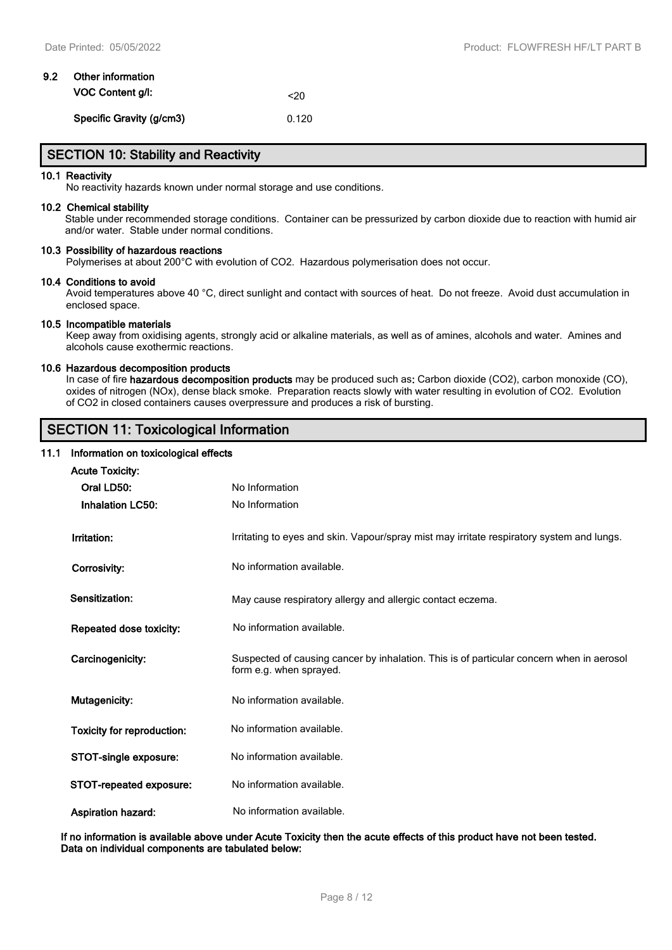# **9.2 Other information VOC Content g/l:**  $\leq$ 20 **Specific Gravity (g/cm3)** 0.120

## **SECTION 10: Stability and Reactivity**

#### **10.1 Reactivity**

No reactivity hazards known under normal storage and use conditions.

#### **10.2 Chemical stability**

Stable under recommended storage conditions. Container can be pressurized by carbon dioxide due to reaction with humid air and/or water. Stable under normal conditions.

#### **10.3 Possibility of hazardous reactions**

Polymerises at about 200°C with evolution of CO2. Hazardous polymerisation does not occur.

#### **10.4 Conditions to avoid**

Avoid temperatures above 40 °C, direct sunlight and contact with sources of heat. Do not freeze. Avoid dust accumulation in enclosed space.

#### **10.5 Incompatible materials**

Keep away from oxidising agents, strongly acid or alkaline materials, as well as of amines, alcohols and water. Amines and alcohols cause exothermic reactions.

### **10.6 Hazardous decomposition products**

In case of fire **hazardous decomposition products** may be produced such as**:** Carbon dioxide (CO2), carbon monoxide (CO), oxides of nitrogen (NOx), dense black smoke. Preparation reacts slowly with water resulting in evolution of CO2. Evolution of CO2 in closed containers causes overpressure and produces a risk of bursting.

## **SECTION 11: Toxicological Information**

#### **11.1 Information on toxicological effects**

| <b>Acute Toxicity:</b>     |                                                                                                                     |
|----------------------------|---------------------------------------------------------------------------------------------------------------------|
| Oral LD50:                 | No Information                                                                                                      |
|                            |                                                                                                                     |
| <b>Inhalation LC50:</b>    | No Information                                                                                                      |
| Irritation:                | Irritating to eyes and skin. Vapour/spray mist may irritate respiratory system and lungs.                           |
| Corrosivity:               | No information available.                                                                                           |
| Sensitization:             | May cause respiratory allergy and allergic contact eczema.                                                          |
| Repeated dose toxicity:    | No information available.                                                                                           |
| Carcinogenicity:           | Suspected of causing cancer by inhalation. This is of particular concern when in aerosol<br>form e.g. when sprayed. |
| Mutagenicity:              | No information available.                                                                                           |
| Toxicity for reproduction: | No information available.                                                                                           |
| STOT-single exposure:      | No information available.                                                                                           |
| STOT-repeated exposure:    | No information available.                                                                                           |
| <b>Aspiration hazard:</b>  | No information available.                                                                                           |

**If no information is available above under Acute Toxicity then the acute effects of this product have not been tested. Data on individual components are tabulated below:**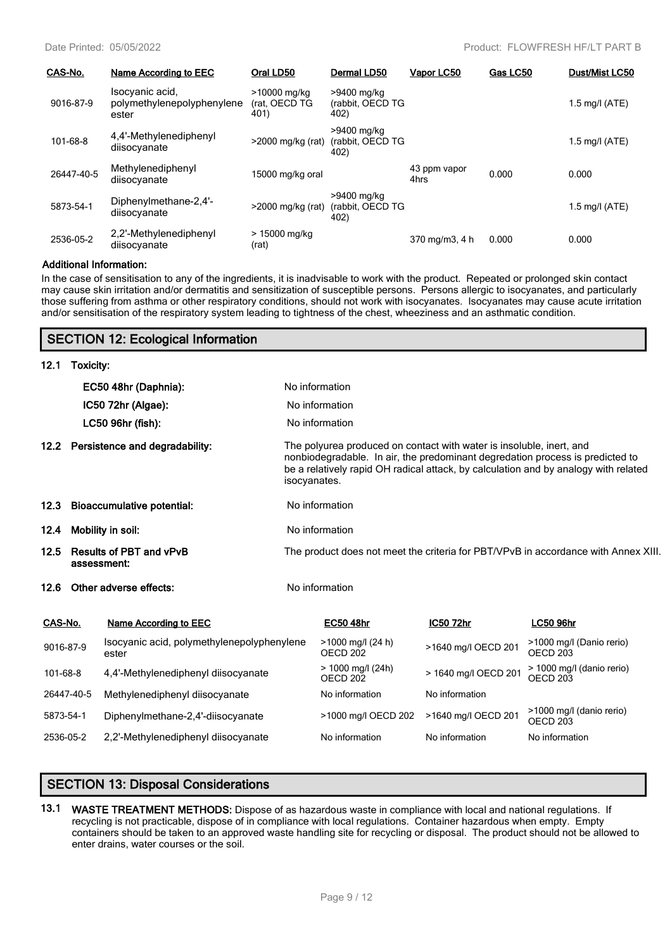| CAS-No.    | Name According to EEC                                  | Oral LD50                             | Dermal LD50                             | Vapor LC50           | Gas LC50 | Dust/Mist LC50   |
|------------|--------------------------------------------------------|---------------------------------------|-----------------------------------------|----------------------|----------|------------------|
| 9016-87-9  | Isocyanic acid.<br>polymethylenepolyphenylene<br>ester | >10000 mg/kg<br>(rat, OECD TG<br>401) | >9400 mg/kg<br>(rabbit, OECD TG<br>402) |                      |          | 1.5 mg/l $(ATE)$ |
| 101-68-8   | 4,4'-Methylenediphenyl<br>diisocyanate                 | >2000 mg/kg (rat)                     | >9400 mg/kg<br>(rabbit, OECD TG<br>402) |                      |          | 1.5 mg/l $(ATE)$ |
| 26447-40-5 | Methylenediphenyl<br>diisocyanate                      | 15000 mg/kg oral                      |                                         | 43 ppm vapor<br>4hrs | 0.000    | 0.000            |
| 5873-54-1  | Diphenylmethane-2,4'-<br>diisocyanate                  | >2000 mg/kg (rat)                     | >9400 mg/kg<br>(rabbit, OECD TG<br>402) |                      |          | 1.5 mg/l $(ATE)$ |
| 2536-05-2  | 2,2'-Methylenediphenyl<br>diisocyanate                 | > 15000 mg/kg<br>(rat)                |                                         | 370 mg/m3, 4 h       | 0.000    | 0.000            |

#### **Additional Information:**

In the case of sensitisation to any of the ingredients, it is inadvisable to work with the product. Repeated or prolonged skin contact may cause skin irritation and/or dermatitis and sensitization of susceptible persons. Persons allergic to isocyanates, and particularly those suffering from asthma or other respiratory conditions, should not work with isocyanates. Isocyanates may cause acute irritation and/or sensitisation of the respiratory system leading to tightness of the chest, wheeziness and an asthmatic condition.

### **SECTION 12: Ecological Information**

| 12.1    | Toxicity:                                   |                                                                                                                                                                                                                                                              |           |                  |  |
|---------|---------------------------------------------|--------------------------------------------------------------------------------------------------------------------------------------------------------------------------------------------------------------------------------------------------------------|-----------|------------------|--|
|         | EC50 48hr (Daphnia):                        | No information                                                                                                                                                                                                                                               |           |                  |  |
|         | $IC50$ 72hr (Algae):                        | No information                                                                                                                                                                                                                                               |           |                  |  |
|         | LC50 96hr (fish):                           | No information                                                                                                                                                                                                                                               |           |                  |  |
|         | 12.2 Persistence and degradability:         | The polyurea produced on contact with water is insoluble, inert, and<br>nonbiodegradable. In air, the predominant degredation process is predicted to<br>be a relatively rapid OH radical attack, by calculation and by analogy with related<br>isocyanates. |           |                  |  |
|         | 12.3 Bioaccumulative potential:             | No information                                                                                                                                                                                                                                               |           |                  |  |
|         | 12.4 Mobility in soil:                      | No information                                                                                                                                                                                                                                               |           |                  |  |
|         | 12.5 Results of PBT and vPvB<br>assessment: | The product does not meet the criteria for PBT/VPvB in accordance with Annex XIII.                                                                                                                                                                           |           |                  |  |
|         | 12.6 Other adverse effects:                 | No information                                                                                                                                                                                                                                               |           |                  |  |
| CAS-No. | <b>Name According to EEC</b>                | <b>EC50 48hr</b>                                                                                                                                                                                                                                             | IC50 72hr | <b>LC50 96hr</b> |  |

| 9016-87-9<br>101-68-8 | Isocyanic acid, polymethylenepolyphenylene<br>ester<br>4.4'-Methylenediphenyl diisocyanate | >1000 mg/l (24 h)<br>OECD 202<br>$> 1000$ mg/l (24h)<br>OECD 202 | >1640 mg/l OECD 201<br>> 1640 mg/l OECD 201 | >1000 mg/l (Danio rerio)<br>OECD <sub>203</sub><br>> 1000 mg/l (danio rerio)<br>OECD <sub>203</sub> |
|-----------------------|--------------------------------------------------------------------------------------------|------------------------------------------------------------------|---------------------------------------------|-----------------------------------------------------------------------------------------------------|
| 26447-40-5            | Methylenediphenyl diisocyanate                                                             | No information                                                   | No information                              |                                                                                                     |
| 5873-54-1             | Diphenylmethane-2,4'-diisocyanate                                                          | >1000 mg/l OECD 202                                              | >1640 mg/l OECD 201                         | >1000 mg/l (danio rerio)<br>OECD <sub>203</sub>                                                     |
| 2536-05-2             | 2.2'-Methylenediphenyl diisocyanate                                                        | No information                                                   | No information                              | No information                                                                                      |

# **SECTION 13: Disposal Considerations**

**13.1 WASTE TREATMENT METHODS:** Dispose of as hazardous waste in compliance with local and national regulations. If recycling is not practicable, dispose of in compliance with local regulations. Container hazardous when empty. Empty containers should be taken to an approved waste handling site for recycling or disposal. The product should not be allowed to enter drains, water courses or the soil.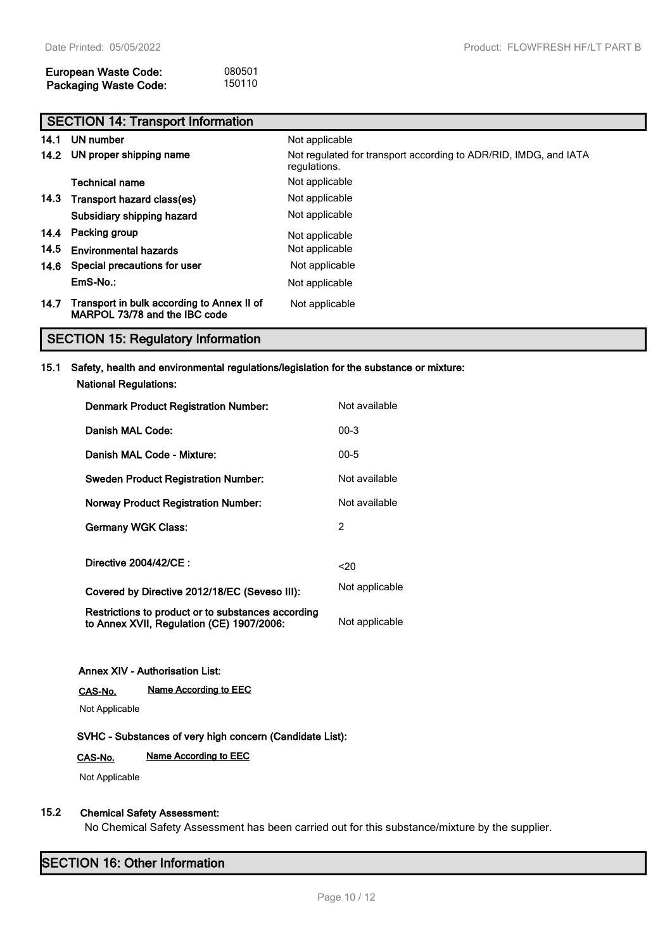| <b>European Waste Code:</b>  | 080501 |
|------------------------------|--------|
| <b>Packaging Waste Code:</b> | 150110 |

|      | <b>SECTION 14: Transport Information</b>                                    |                                                                                  |  |  |  |
|------|-----------------------------------------------------------------------------|----------------------------------------------------------------------------------|--|--|--|
| 14.1 | UN number                                                                   | Not applicable                                                                   |  |  |  |
|      | 14.2 UN proper shipping name                                                | Not regulated for transport according to ADR/RID, IMDG, and IATA<br>regulations. |  |  |  |
|      | <b>Technical name</b>                                                       | Not applicable                                                                   |  |  |  |
|      | 14.3 Transport hazard class(es)                                             | Not applicable                                                                   |  |  |  |
|      | Subsidiary shipping hazard                                                  | Not applicable                                                                   |  |  |  |
|      | 14.4 Packing group                                                          | Not applicable                                                                   |  |  |  |
| 14.5 | <b>Environmental hazards</b>                                                | Not applicable                                                                   |  |  |  |
| 14.6 | Special precautions for user                                                | Not applicable                                                                   |  |  |  |
|      | EmS-No.:                                                                    | Not applicable                                                                   |  |  |  |
| 14.7 | Transport in bulk according to Annex II of<br>MARPOL 73/78 and the IBC code | Not applicable                                                                   |  |  |  |

# **SECTION 15: Regulatory Information**

### **15.1 Safety, health and environmental regulations/legislation for the substance or mixture:**

| <b>National Regulations:</b>                                                                    |                |
|-------------------------------------------------------------------------------------------------|----------------|
| <b>Denmark Product Registration Number:</b>                                                     | Not available  |
| Danish MAL Code:                                                                                | $00-3$         |
| Danish MAL Code - Mixture:                                                                      | $00 - 5$       |
| <b>Sweden Product Registration Number:</b>                                                      | Not available  |
| <b>Norway Product Registration Number:</b>                                                      | Not available  |
| <b>Germany WGK Class:</b>                                                                       | 2              |
| Directive 2004/42/CE:                                                                           | 20             |
| Covered by Directive 2012/18/EC (Seveso III):                                                   | Not applicable |
| Restrictions to product or to substances according<br>to Annex XVII, Regulation (CE) 1907/2006: | Not applicable |

### **Annex XIV - Authorisation List:**

**CAS-No. Name According to EEC**

Not Applicable

### **SVHC - Substances of very high concern (Candidate List):**

#### **CAS-No. Name According to EEC**

Not Applicable

### **15.2 Chemical Safety Assessment:**

No Chemical Safety Assessment has been carried out for this substance/mixture by the supplier.

# **SECTION 16: Other Information**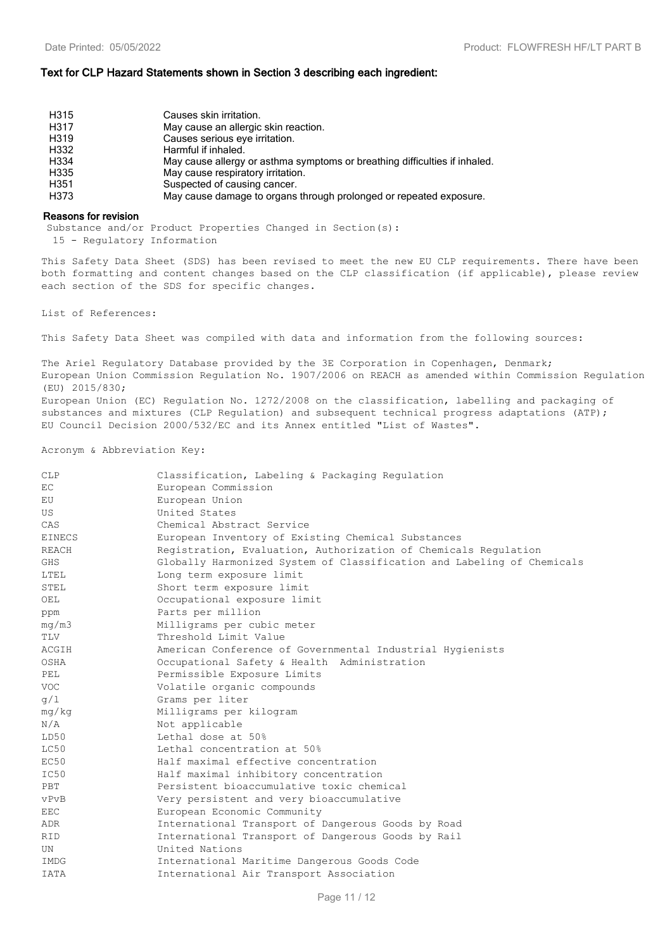#### **Text for CLP Hazard Statements shown in Section 3 describing each ingredient:**

| H315             | Causes skin irritation.                                                    |
|------------------|----------------------------------------------------------------------------|
| H317             | May cause an allergic skin reaction.                                       |
| H319             | Causes serious eye irritation.                                             |
| H332             | Harmful if inhaled.                                                        |
| H334             | May cause allergy or asthma symptoms or breathing difficulties if inhaled. |
| H335             | May cause respiratory irritation.                                          |
| H <sub>351</sub> | Suspected of causing cancer.                                               |
| H373             | May cause damage to organs through prolonged or repeated exposure.         |

#### **Reasons for revision**

Substance and/or Product Properties Changed in Section(s):

15 - Regulatory Information

This Safety Data Sheet (SDS) has been revised to meet the new EU CLP requirements. There have been both formatting and content changes based on the CLP classification (if applicable), please review each section of the SDS for specific changes.

List of References:

This Safety Data Sheet was compiled with data and information from the following sources:

The Ariel Regulatory Database provided by the 3E Corporation in Copenhagen, Denmark; European Union Commission Regulation No. 1907/2006 on REACH as amended within Commission Regulation (EU) 2015/830; European Union (EC) Regulation No. 1272/2008 on the classification, labelling and packaging of substances and mixtures (CLP Regulation) and subsequent technical progress adaptations (ATP);

EU Council Decision 2000/532/EC and its Annex entitled "List of Wastes".

#### Acronym & Abbreviation Key:

| <b>CLP</b>    | Classification, Labeling & Packaging Regulation                        |
|---------------|------------------------------------------------------------------------|
| EC            | European Commission                                                    |
| EU            | European Union                                                         |
| US            | United States                                                          |
| CAS           | Chemical Abstract Service                                              |
| <b>EINECS</b> | European Inventory of Existing Chemical Substances                     |
| <b>REACH</b>  | Registration, Evaluation, Authorization of Chemicals Regulation        |
| <b>GHS</b>    | Globally Harmonized System of Classification and Labeling of Chemicals |
| LTEL          | Long term exposure limit                                               |
| STEL          | Short term exposure limit                                              |
| OEL           | Occupational exposure limit                                            |
| ppm           | Parts per million                                                      |
| mq/m3         | Milligrams per cubic meter                                             |
| TLV           | Threshold Limit Value                                                  |
| ACGIH         | American Conference of Governmental Industrial Hygienists              |
| OSHA          | Occupational Safety & Health Administration                            |
| <b>PEL</b>    | Permissible Exposure Limits                                            |
| <b>VOC</b>    | Volatile organic compounds                                             |
| q/1           | Grams per liter                                                        |
| mg/kg         | Milligrams per kilogram                                                |
| N/A           | Not applicable                                                         |
| LD50          | Lethal dose at 50%                                                     |
| LC50          | Lethal concentration at 50%                                            |
| EC50          | Half maximal effective concentration                                   |
| IC50          | Half maximal inhibitory concentration                                  |
| PBT           | Persistent bioaccumulative toxic chemical                              |
| vPvB          | Very persistent and very bioaccumulative                               |
| EEC           | European Economic Community                                            |
| ADR           | International Transport of Dangerous Goods by Road                     |
| <b>RID</b>    | International Transport of Dangerous Goods by Rail                     |
| UN            | United Nations                                                         |
| IMDG          | International Maritime Dangerous Goods Code                            |
| <b>IATA</b>   | International Air Transport Association                                |
|               |                                                                        |